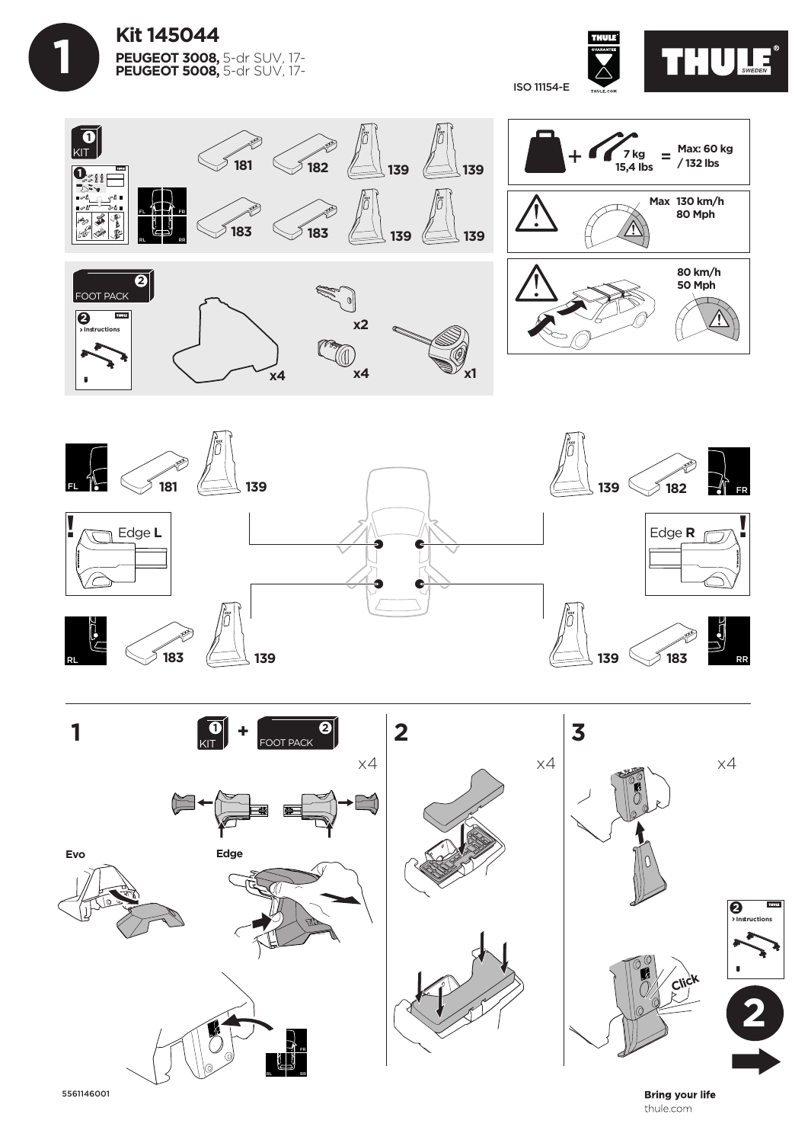









**Bring your life** thule.com

5561146001